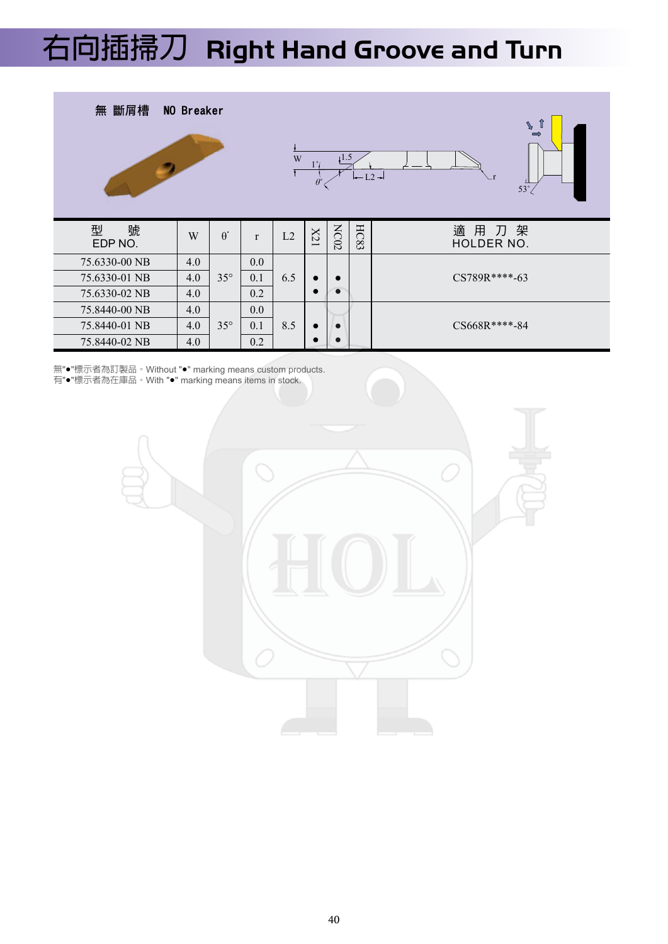## **右向切槽刀 Right Hand Groove 右向插掃刀 Right Hand Groove and Turn**



無"●"標示者為訂製品。Without "●" marking means custom products. 有"●"標示者為在庫品。With "●" marking means items in stock.

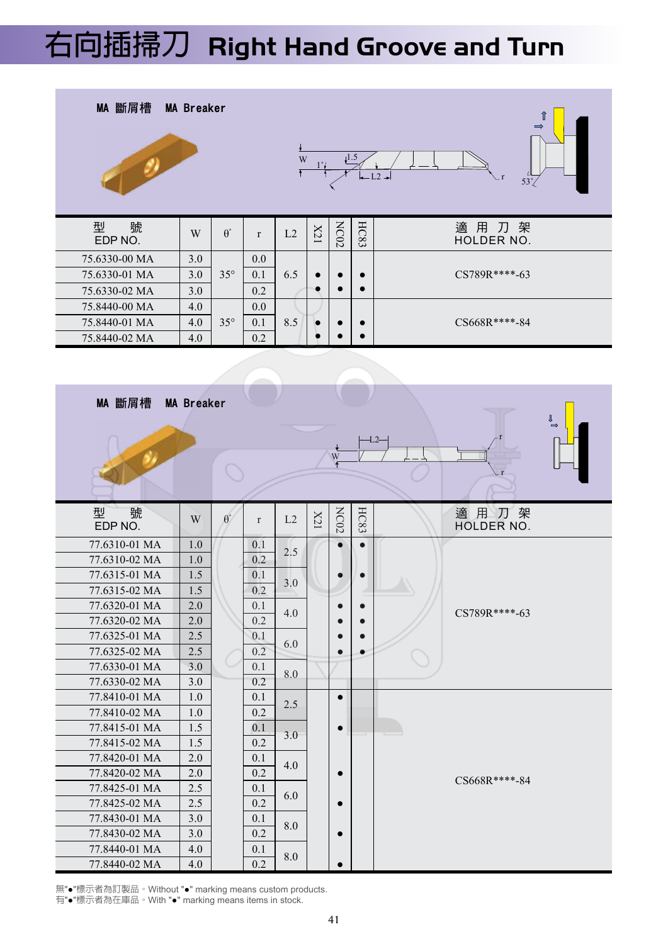## **右向插掃刀 Right Hand Groove and Turn**



| MA 斷屑槽            | <b>MA Breaker</b> |            |              |     |           | W <sub>F</sub> |           | ⇓<br>-L2-          |
|-------------------|-------------------|------------|--------------|-----|-----------|----------------|-----------|--------------------|
| 型<br>號<br>EDP NO. | W                 | $\theta$ ° | $\mathbf{r}$ | L2  | X21       | NC02           | HC83      | 適用刀架<br>HOLDER NO. |
| 77.6310-01 MA     | 1.0               |            | 0.1          | 2.5 |           | $\bullet$      | $\bullet$ |                    |
| 77.6310-02 MA     | 1.0               |            | 0.2          |     |           |                |           |                    |
| 77.6315-01 MA     | 1.5               |            | 0.1          | 3.0 | $\bullet$ | $\bullet$      |           |                    |
| 77.6315-02 MA     | 1.5               |            | 0.2          |     |           |                |           |                    |
| 77.6320-01 MA     | 2.0               |            | 0.1          | 4.0 |           | $\bullet$      |           | CS789R****-63      |
| 77.6320-02 MA     | 2.0               |            | 0.2          |     |           |                |           |                    |
| 77.6325-01 MA     | 2.5               |            | 0.1          |     |           | $\bullet$      | $\bullet$ |                    |
| 77.6325-02 MA     | 2.5               |            | 0.2          | 6.0 |           | $\bullet$      | $\bullet$ |                    |
| 77.6330-01 MA     | 3.0               |            | 0.1          | 8.0 |           |                |           |                    |
| 77.6330-02 MA     | 3.0               |            | 0.2          |     |           |                |           |                    |
| 77.8410-01 MA     | 1.0               |            | 0.1          | 2.5 |           | $\bullet$      |           |                    |
| 77.8410-02 MA     | 1.0               |            | 0.2          |     |           |                |           |                    |
| 77.8415-01 MA     | 1.5               |            | 0.1          | 3.0 |           | $\bullet$      |           |                    |
| 77.8415-02 MA     | 1.5               |            | 0.2          |     |           |                |           |                    |
| 77.8420-01 MA     | 2.0               |            | 0.1          | 4.0 |           |                |           |                    |
| 77.8420-02 MA     | 2.0               |            | 0.2          |     |           | $\bullet$      |           | CS668R****-84      |
| 77.8425-01 MA     | 2.5               |            | 0.1          | 6.0 |           |                |           |                    |
| 77.8425-02 MA     | 2.5               |            | 0.2          |     |           | $\bullet$      |           |                    |
| 77.8430-01 MA     | 3.0               |            | 0.1          | 8.0 |           |                |           |                    |
| 77.8430-02 MA     | 3.0               |            | 0.2          |     |           | $\bullet$      |           |                    |
| 77.8440-01 MA     | 4.0               |            | 0.1          | 8.0 |           |                |           |                    |
| 77.8440-02 MA     | 4.0               |            | 0.2          |     |           | $\bullet$      |           |                    |

無"●"標示者為訂製品。Without "●" marking means custom products.

有"●"標示者為在庫品。With "●" marking means items in stock.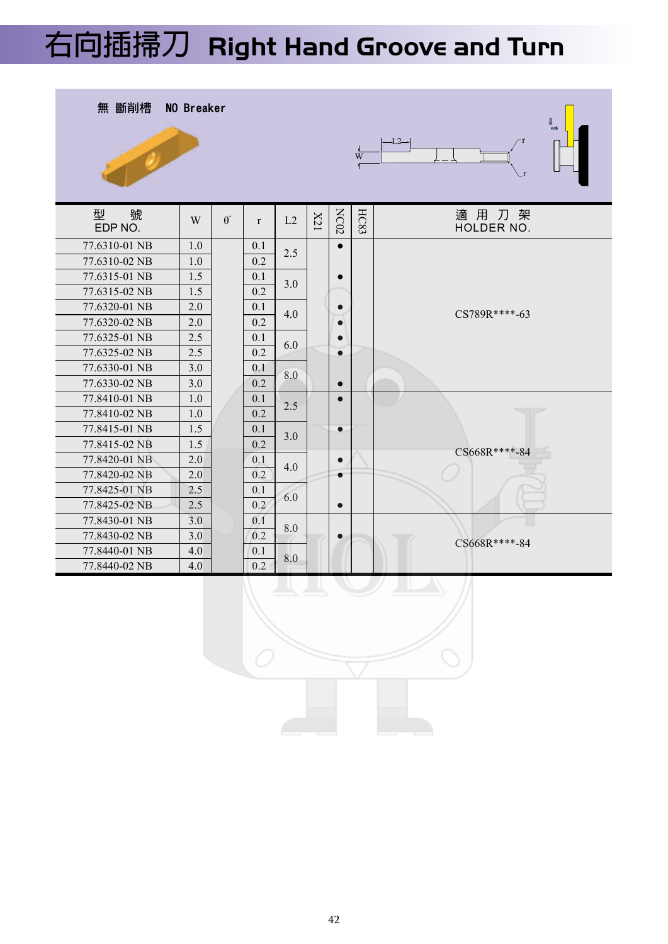## **右向插掃刀 Right Hand Groove and Turn**



42